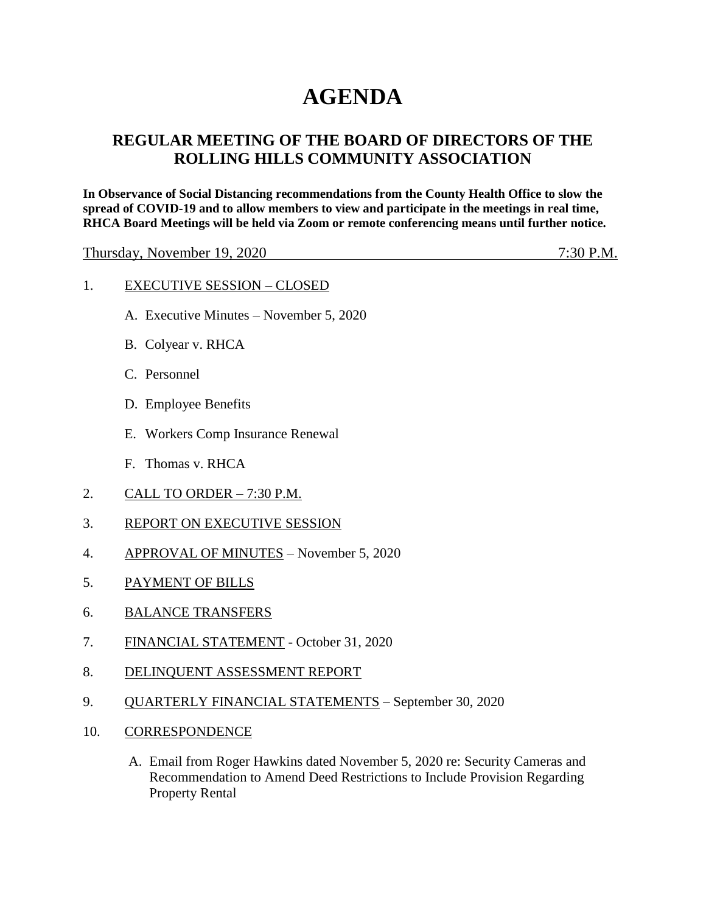# **AGENDA**

# **REGULAR MEETING OF THE BOARD OF DIRECTORS OF THE ROLLING HILLS COMMUNITY ASSOCIATION**

**In Observance of Social Distancing recommendations from the County Health Office to slow the spread of COVID-19 and to allow members to view and participate in the meetings in real time, RHCA Board Meetings will be held via Zoom or remote conferencing means until further notice.** 

Thursday, November 19, 2020 <u>200 million and the matter of the 7:30 P.M.</u>

#### 1. EXECUTIVE SESSION – CLOSED

- A. Executive Minutes November 5, 2020
- B. Colyear v. RHCA
- C. Personnel
- D. Employee Benefits
- E. Workers Comp Insurance Renewal
- F. Thomas v. RHCA
- 2. CALL TO ORDER 7:30 P.M.
- 3. REPORT ON EXECUTIVE SESSION
- 4. APPROVAL OF MINUTES November 5, 2020
- 5. PAYMENT OF BILLS
- 6. BALANCE TRANSFERS
- 7. FINANCIAL STATEMENT October 31, 2020
- 8. DELINQUENT ASSESSMENT REPORT
- 9. QUARTERLY FINANCIAL STATEMENTS September 30, 2020
- 10. CORRESPONDENCE
	- A. Email from Roger Hawkins dated November 5, 2020 re: Security Cameras and Recommendation to Amend Deed Restrictions to Include Provision Regarding Property Rental